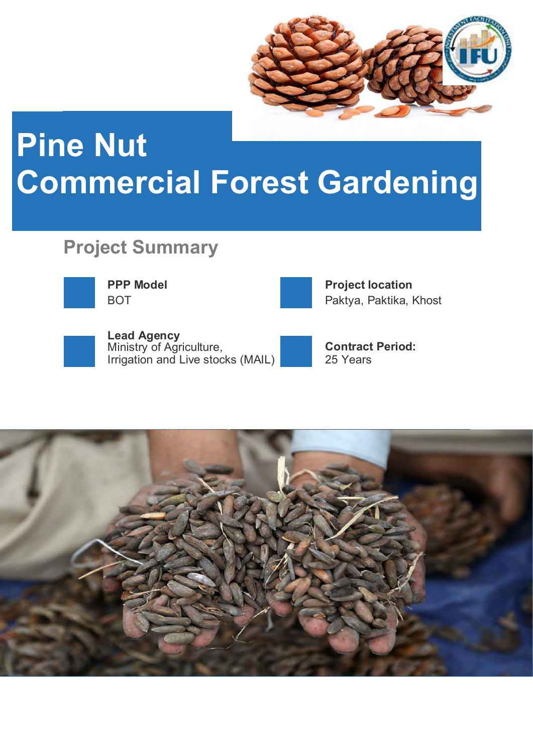

## **Pine Nut Commercial Forest Gardening**

## **Project Summary**





**PPP Model CONSUMPRIET AND RESPONSIVE PROJEct location** BOT **Paktya, Paktika, Khost** 



**Lead Agency**  Ministry of Agriculture, **Contract Period:** Irrigation and Live stocks (MAIL) 25 Years